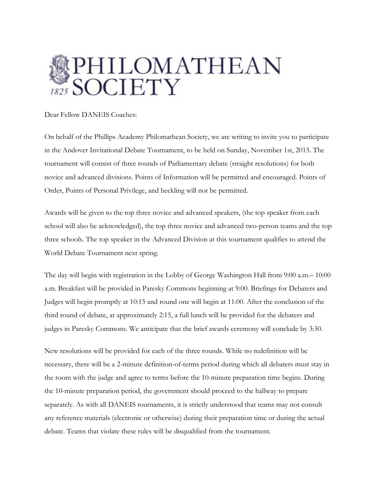

Dear Fellow DANEIS Coaches:

On behalf of the Phillips Academy Philomathean Society, we are writing to invite you to participate in the Andover Invitational Debate Tournament, to be held on Sunday, November 1st, 2015. The tournament will consist of three rounds of Parliamentary debate (straight resolutions) for both novice and advanced divisions. Points of Information will be permitted and encouraged. Points of Order, Points of Personal Privilege, and heckling will not be permitted.

Awards will be given to the top three novice and advanced speakers, (the top speaker from each school will also be acknowledged), the top three novice and advanced two-person teams and the top three schools. The top speaker in the Advanced Division at this tournament qualifies to attend the World Debate Tournament next spring.

The day will begin with registration in the Lobby of George Washington Hall from 9:00 a.m.– 10:00 a.m. Breakfast will be provided in Paresky Commons beginning at 9:00. Briefings for Debaters and Judges will begin promptly at 10:15 and round one will begin at 11:00. After the conclusion of the third round of debate, at approximately 2:15, a full lunch will be provided for the debaters and judges in Paresky Commons. We anticipate that the brief awards ceremony will conclude by 3:30.

New resolutions will be provided for each of the three rounds. While no redefinition will be necessary, there will be a 2-minute definition-of-terms period during which all debaters must stay in the room with the judge and agree to terms before the 10-minute preparation time begins. During the 10-minute preparation period, the government should proceed to the hallway to prepare separately. As with all DANEIS tournaments, it is strictly understood that teams may not consult any reference materials (electronic or otherwise) during their preparation time or during the actual debate. Teams that violate these rules will be disqualified from the tournament.